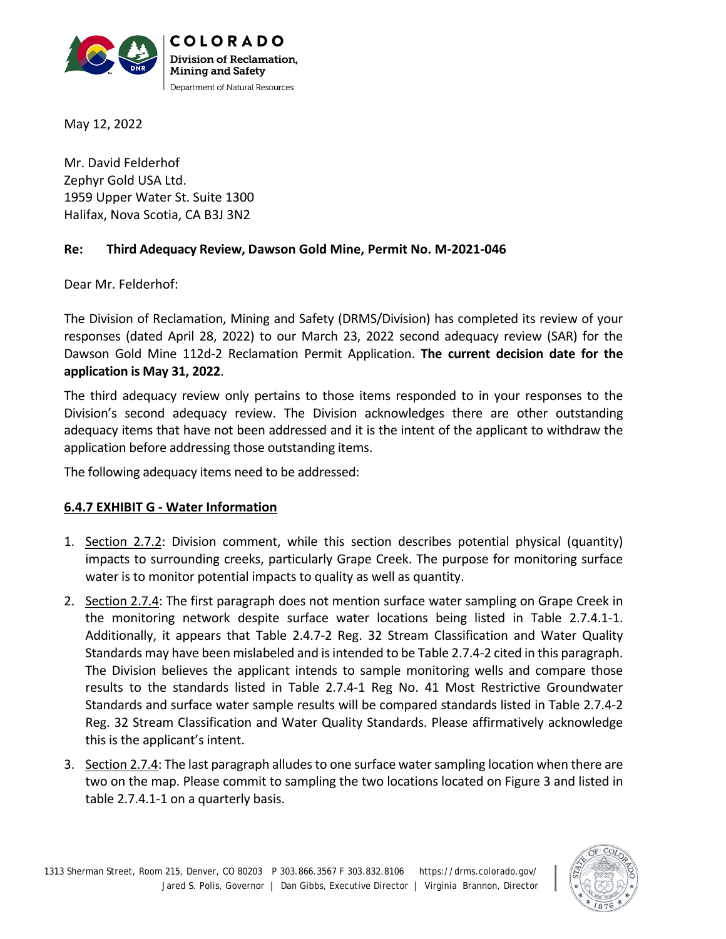

May 12, 2022

Mr. David Felderhof Zephyr Gold USA Ltd. 1959 Upper Water St. Suite 1300 Halifax, Nova Scotia, CA B3J 3N2

#### **Re: Third Adequacy Review, Dawson Gold Mine, Permit No. M-2021-046**

Dear Mr. Felderhof:

The Division of Reclamation, Mining and Safety (DRMS/Division) has completed its review of your responses (dated April 28, 2022) to our March 23, 2022 second adequacy review (SAR) for the Dawson Gold Mine 112d-2 Reclamation Permit Application. **The current decision date for the application is May 31, 2022**.

The third adequacy review only pertains to those items responded to in your responses to the Division's second adequacy review. The Division acknowledges there are other outstanding adequacy items that have not been addressed and it is the intent of the applicant to withdraw the application before addressing those outstanding items.

The following adequacy items need to be addressed:

## **6.4.7 EXHIBIT G - Water Information**

- 1. Section 2.7.2: Division comment, while this section describes potential physical (quantity) impacts to surrounding creeks, particularly Grape Creek. The purpose for monitoring surface water is to monitor potential impacts to quality as well as quantity.
- 2. Section 2.7.4: The first paragraph does not mention surface water sampling on Grape Creek in the monitoring network despite surface water locations being listed in Table 2.7.4.1-1. Additionally, it appears that Table 2.4.7-2 Reg. 32 Stream Classification and Water Quality Standards may have been mislabeled and is intended to be Table 2.7.4-2 cited in this paragraph. The Division believes the applicant intends to sample monitoring wells and compare those results to the standards listed in Table 2.7.4-1 Reg No. 41 Most Restrictive Groundwater Standards and surface water sample results will be compared standards listed in Table 2.7.4-2 Reg. 32 Stream Classification and Water Quality Standards. Please affirmatively acknowledge this is the applicant's intent.
- 3. Section 2.7.4: The last paragraph alludes to one surface water sampling location when there are two on the map. Please commit to sampling the two locations located on Figure 3 and listed in table 2.7.4.1-1 on a quarterly basis.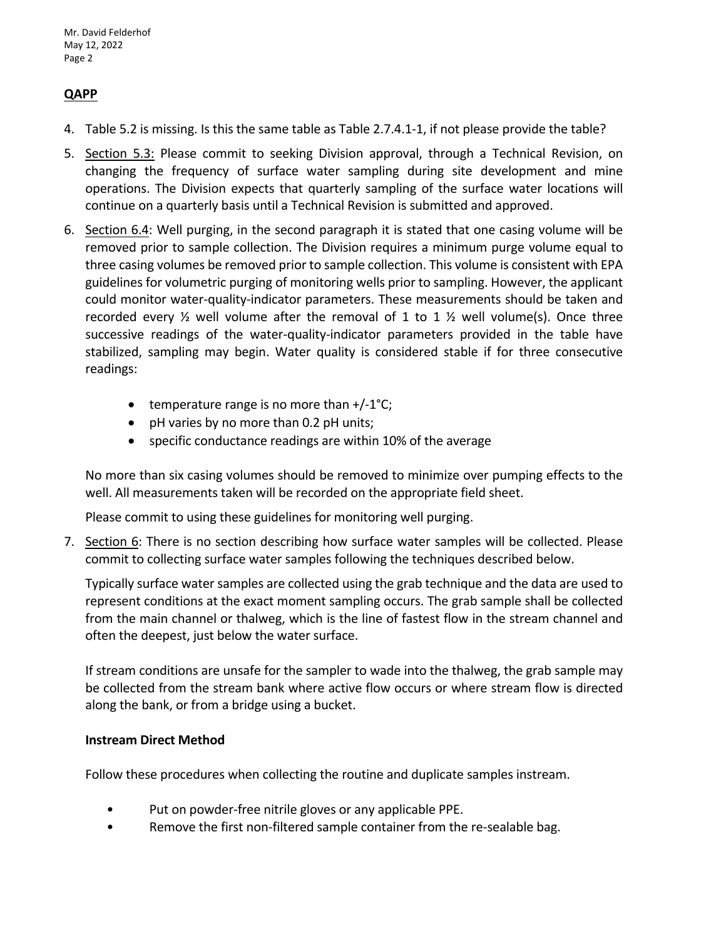## **QAPP**

- 4. Table 5.2 is missing. Is this the same table as Table 2.7.4.1-1, if not please provide the table?
- 5. Section 5.3: Please commit to seeking Division approval, through a Technical Revision, on changing the frequency of surface water sampling during site development and mine operations. The Division expects that quarterly sampling of the surface water locations will continue on a quarterly basis until a Technical Revision is submitted and approved.
- 6. Section 6.4: Well purging, in the second paragraph it is stated that one casing volume will be removed prior to sample collection. The Division requires a minimum purge volume equal to three casing volumes be removed prior to sample collection. This volume is consistent with EPA guidelines for volumetric purging of monitoring wells prior to sampling. However, the applicant could monitor water-quality-indicator parameters. These measurements should be taken and recorded every  $\frac{1}{2}$  well volume after the removal of 1 to 1  $\frac{1}{2}$  well volume(s). Once three successive readings of the water-quality-indicator parameters provided in the table have stabilized, sampling may begin. Water quality is considered stable if for three consecutive readings:
	- temperature range is no more than  $+/-1$ °C;
	- pH varies by no more than 0.2 pH units;
	- specific conductance readings are within 10% of the average

No more than six casing volumes should be removed to minimize over pumping effects to the well. All measurements taken will be recorded on the appropriate field sheet.

Please commit to using these guidelines for monitoring well purging.

7. Section 6: There is no section describing how surface water samples will be collected. Please commit to collecting surface water samples following the techniques described below.

Typically surface water samples are collected using the grab technique and the data are used to represent conditions at the exact moment sampling occurs. The grab sample shall be collected from the main channel or thalweg, which is the line of fastest flow in the stream channel and often the deepest, just below the water surface.

If stream conditions are unsafe for the sampler to wade into the thalweg, the grab sample may be collected from the stream bank where active flow occurs or where stream flow is directed along the bank, or from a bridge using a bucket.

#### **Instream Direct Method**

Follow these procedures when collecting the routine and duplicate samples instream.

- Put on powder-free nitrile gloves or any applicable PPE.
- Remove the first non-filtered sample container from the re-sealable bag.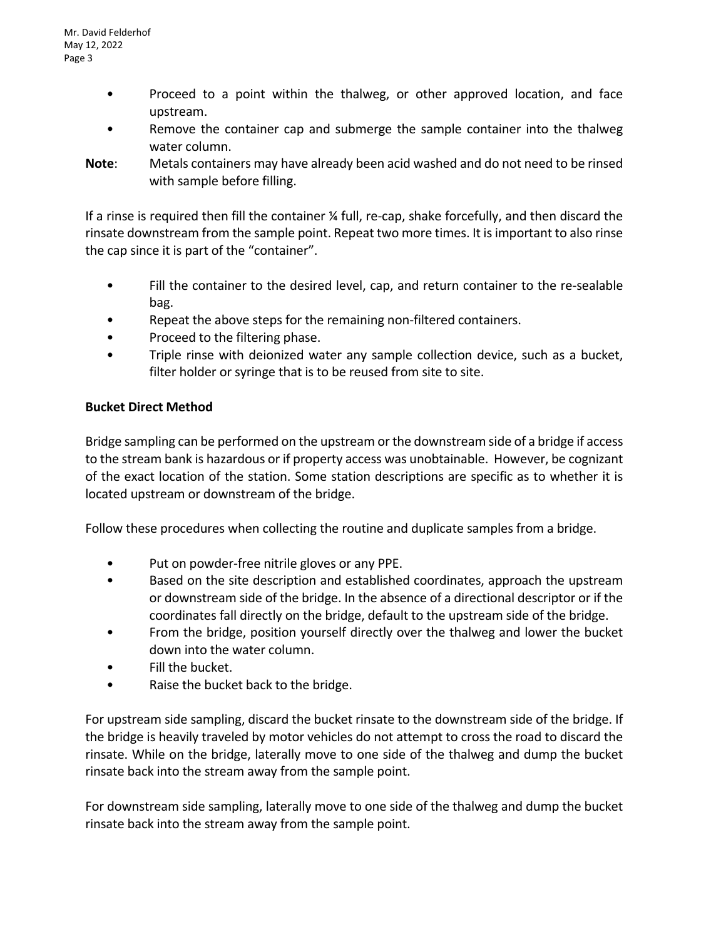- Proceed to a point within the thalweg, or other approved location, and face upstream.
- Remove the container cap and submerge the sample container into the thalweg water column.
- **Note**: Metals containers may have already been acid washed and do not need to be rinsed with sample before filling.

If a rinse is required then fill the container ¼ full, re-cap, shake forcefully, and then discard the rinsate downstream from the sample point. Repeat two more times. It is important to also rinse the cap since it is part of the "container".

- Fill the container to the desired level, cap, and return container to the re-sealable bag.
- Repeat the above steps for the remaining non-filtered containers.
- Proceed to the filtering phase.
- Triple rinse with deionized water any sample collection device, such as a bucket, filter holder or syringe that is to be reused from site to site.

# **Bucket Direct Method**

Bridge sampling can be performed on the upstream or the downstream side of a bridge if access to the stream bank is hazardous or if property access was unobtainable. However, be cognizant of the exact location of the station. Some station descriptions are specific as to whether it is located upstream or downstream of the bridge.

Follow these procedures when collecting the routine and duplicate samples from a bridge.

- Put on powder-free nitrile gloves or any PPE.
- Based on the site description and established coordinates, approach the upstream or downstream side of the bridge. In the absence of a directional descriptor or if the coordinates fall directly on the bridge, default to the upstream side of the bridge.
- From the bridge, position yourself directly over the thalweg and lower the bucket down into the water column.
- Fill the bucket.
- Raise the bucket back to the bridge.

For upstream side sampling, discard the bucket rinsate to the downstream side of the bridge. If the bridge is heavily traveled by motor vehicles do not attempt to cross the road to discard the rinsate. While on the bridge, laterally move to one side of the thalweg and dump the bucket rinsate back into the stream away from the sample point.

For downstream side sampling, laterally move to one side of the thalweg and dump the bucket rinsate back into the stream away from the sample point.